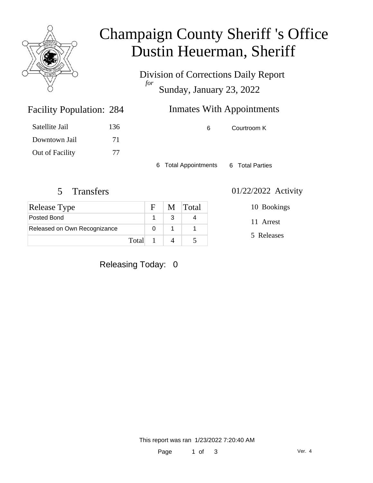

## Champaign County Sheriff 's Office Dustin Heuerman, Sheriff

Division of Corrections Daily Report *for* Sunday, January 23, 2022

| 284 | <b>Inmates With Appointments</b> |
|-----|----------------------------------|
|     |                                  |

| Satellite Jail  | 136 |
|-----------------|-----|
| Downtown Jail   | 71  |
| Out of Facility | 77  |

Facility Population: 284

6 Courtroom K

6 Total Appointments 6 Total Parties

### 5 Transfers 01/22/2022 Activity

| <b>Release Type</b>          |       | $\mathbf{F}$ | M Total |
|------------------------------|-------|--------------|---------|
| Posted Bond                  |       |              |         |
| Released on Own Recognizance |       |              |         |
|                              | Total |              |         |

10 Bookings

11 Arrest

5 Releases

Releasing Today: 0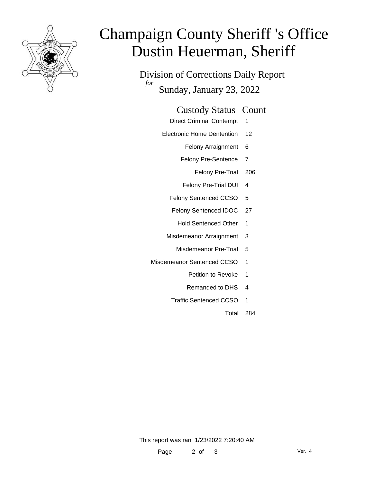

# Champaign County Sheriff 's Office Dustin Heuerman, Sheriff

Division of Corrections Daily Report *for* Sunday, January 23, 2022

#### Custody Status Count

- Direct Criminal Contempt 1
- Electronic Home Dentention 12
	- Felony Arraignment 6
	- Felony Pre-Sentence 7
		- Felony Pre-Trial 206
	- Felony Pre-Trial DUI 4
	- Felony Sentenced CCSO 5
	- Felony Sentenced IDOC 27
		- Hold Sentenced Other 1
	- Misdemeanor Arraignment 3
		- Misdemeanor Pre-Trial 5
- Misdemeanor Sentenced CCSO 1
	- Petition to Revoke 1
	- Remanded to DHS 4
	- Traffic Sentenced CCSO 1
		- Total 284

This report was ran 1/23/2022 7:20:40 AM